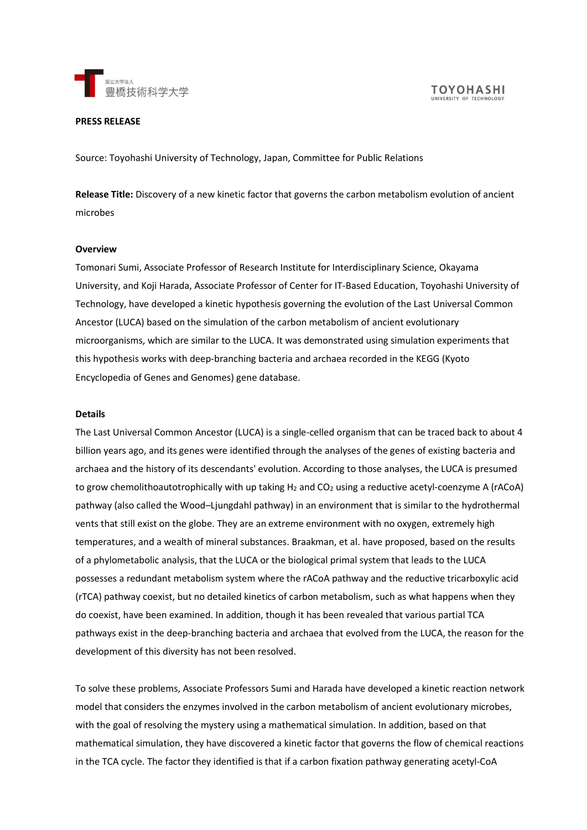

#### **PRESS RELEASE**

Source: Toyohashi University of Technology, Japan, Committee for Public Relations

**Release Title:** Discovery of a new kinetic factor that governs the carbon metabolism evolution of ancient microbes

#### **Overview**

Tomonari Sumi, Associate Professor of Research Institute for Interdisciplinary Science, Okayama University, and Koji Harada, Associate Professor of Center for IT-Based Education, Toyohashi University of Technology, have developed a kinetic hypothesis governing the evolution of the Last Universal Common Ancestor (LUCA) based on the simulation of the carbon metabolism of ancient evolutionary microorganisms, which are similar to the LUCA. It was demonstrated using simulation experiments that this hypothesis works with deep-branching bacteria and archaea recorded in the KEGG (Kyoto Encyclopedia of Genes and Genomes) gene database.

#### **Details**

The Last Universal Common Ancestor (LUCA) is a single-celled organism that can be traced back to about 4 billion years ago, and its genes were identified through the analyses of the genes of existing bacteria and archaea and the history of its descendants' evolution. According to those analyses, the LUCA is presumed to grow chemolithoautotrophically with up taking  $H_2$  and  $CO_2$  using a reductive acetyl-coenzyme A (rACoA) pathway (also called the Wood–Ljungdahl pathway) in an environment that is similar to the hydrothermal vents that still exist on the globe. They are an extreme environment with no oxygen, extremely high temperatures, and a wealth of mineral substances. Braakman, et al. have proposed, based on the results of a phylometabolic analysis, that the LUCA or the biological primal system that leads to the LUCA possesses a redundant metabolism system where the rACoA pathway and the reductive tricarboxylic acid (rTCA) pathway coexist, but no detailed kinetics of carbon metabolism, such as what happens when they do coexist, have been examined. In addition, though it has been revealed that various partial TCA pathways exist in the deep-branching bacteria and archaea that evolved from the LUCA, the reason for the development of this diversity has not been resolved.

To solve these problems, Associate Professors Sumi and Harada have developed a kinetic reaction network model that considers the enzymes involved in the carbon metabolism of ancient evolutionary microbes, with the goal of resolving the mystery using a mathematical simulation. In addition, based on that mathematical simulation, they have discovered a kinetic factor that governs the flow of chemical reactions in the TCA cycle. The factor they identified is that if a carbon fixation pathway generating acetyl-CoA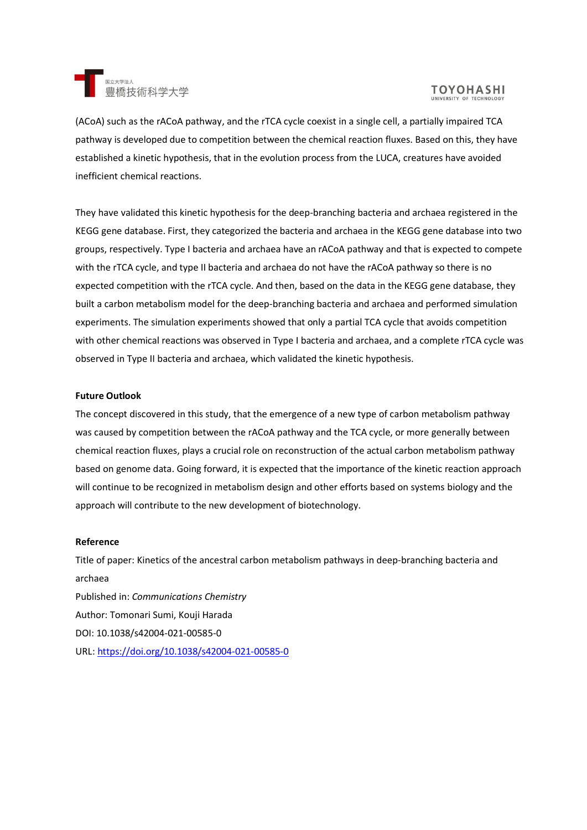

# **TOYOHASHI**

(ACoA) such as the rACoA pathway, and the rTCA cycle coexist in a single cell, a partially impaired TCA pathway is developed due to competition between the chemical reaction fluxes. Based on this, they have established a kinetic hypothesis, that in the evolution process from the LUCA, creatures have avoided inefficient chemical reactions.

They have validated this kinetic hypothesis for the deep-branching bacteria and archaea registered in the KEGG gene database. First, they categorized the bacteria and archaea in the KEGG gene database into two groups, respectively. Type I bacteria and archaea have an rACoA pathway and that is expected to compete with the rTCA cycle, and type II bacteria and archaea do not have the rACoA pathway so there is no expected competition with the rTCA cycle. And then, based on the data in the KEGG gene database, they built a carbon metabolism model for the deep-branching bacteria and archaea and performed simulation experiments. The simulation experiments showed that only a partial TCA cycle that avoids competition with other chemical reactions was observed in Type I bacteria and archaea, and a complete rTCA cycle was observed in Type II bacteria and archaea, which validated the kinetic hypothesis.

## **Future Outlook**

The concept discovered in this study, that the emergence of a new type of carbon metabolism pathway was caused by competition between the rACoA pathway and the TCA cycle, or more generally between chemical reaction fluxes, plays a crucial role on reconstruction of the actual carbon metabolism pathway based on genome data. Going forward, it is expected that the importance of the kinetic reaction approach will continue to be recognized in metabolism design and other efforts based on systems biology and the approach will contribute to the new development of biotechnology.

#### **Reference**

Title of paper: Kinetics of the ancestral carbon metabolism pathways in deep-branching bacteria and archaea Published in: *Communications Chemistry* Author: Tomonari Sumi, Kouji Harada DOI: 10.1038/s42004-021-00585-0 URL: <https://doi.org/10.1038/s42004-021-00585-0>